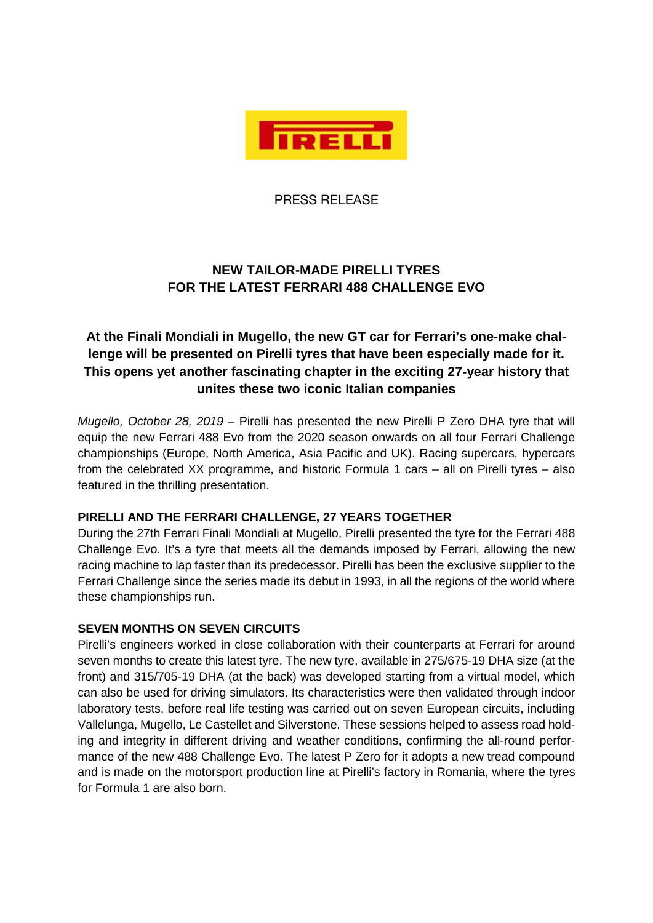

PRESS RELEASE

# **NEW TAILOR-MADE PIRELLI TYRES FOR THE LATEST FERRARI 488 CHALLENGE EVO**

## **At the Finali Mondiali in Mugello, the new GT car for Ferrari's one-make challenge will be presented on Pirelli tyres that have been especially made for it. This opens yet another fascinating chapter in the exciting 27-year history that unites these two iconic Italian companies**

*Mugello, October 28, 2019 –* Pirelli has presented the new Pirelli P Zero DHA tyre that will equip the new Ferrari 488 Evo from the 2020 season onwards on all four Ferrari Challenge championships (Europe, North America, Asia Pacific and UK). Racing supercars, hypercars from the celebrated XX programme, and historic Formula 1 cars – all on Pirelli tyres – also featured in the thrilling presentation.

### **PIRELLI AND THE FERRARI CHALLENGE, 27 YEARS TOGETHER**

During the 27th Ferrari Finali Mondiali at Mugello, Pirelli presented the tyre for the Ferrari 488 Challenge Evo. It's a tyre that meets all the demands imposed by Ferrari, allowing the new racing machine to lap faster than its predecessor. Pirelli has been the exclusive supplier to the Ferrari Challenge since the series made its debut in 1993, in all the regions of the world where these championships run.

### **SEVEN MONTHS ON SEVEN CIRCUITS**

Pirelli's engineers worked in close collaboration with their counterparts at Ferrari for around seven months to create this latest tyre. The new tyre, available in 275/675-19 DHA size (at the front) and 315/705-19 DHA (at the back) was developed starting from a virtual model, which can also be used for driving simulators. Its characteristics were then validated through indoor laboratory tests, before real life testing was carried out on seven European circuits, including Vallelunga, Mugello, Le Castellet and Silverstone. These sessions helped to assess road holding and integrity in different driving and weather conditions, confirming the all-round performance of the new 488 Challenge Evo. The latest P Zero for it adopts a new tread compound and is made on the motorsport production line at Pirelli's factory in Romania, where the tyres for Formula 1 are also born.